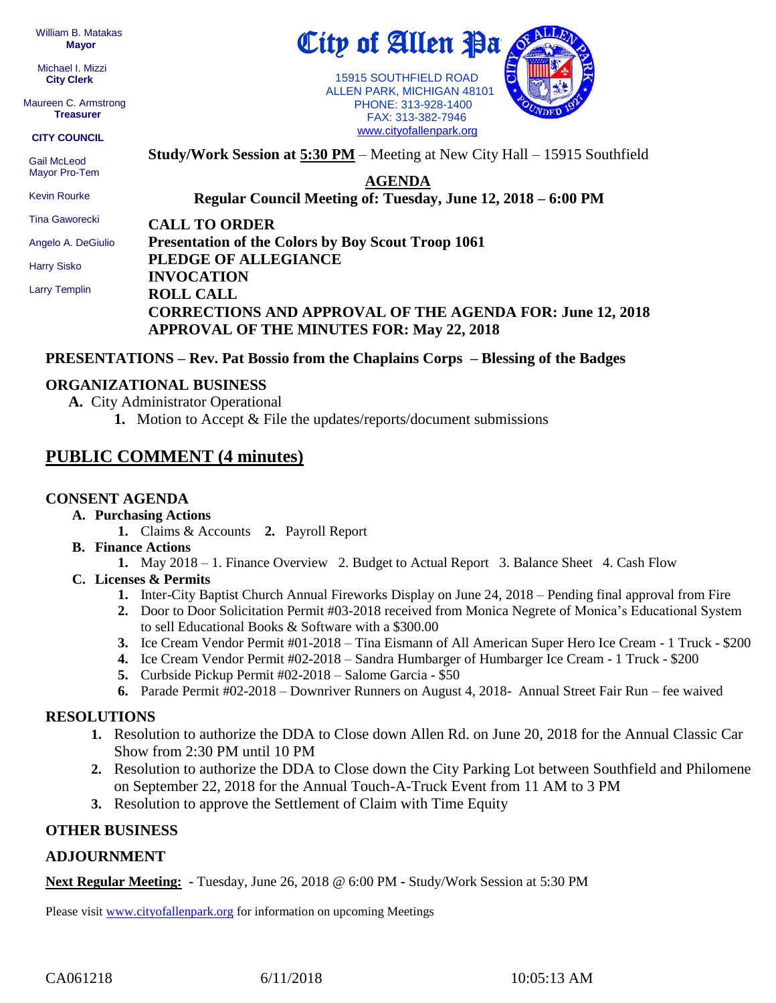William B. Matakas  **Mayor**

 Michael I. Mizzi **City Clerk**

Maureen C. Armstrong **Treasurer**

#### **CITY COUNCIL**

 Gail McLeod Mayor Pro-Tem

 Kevin Rourke Tina Gaworecki

**AGENDA Regular Council Meeting of: Tuesday, June 12, 2018 – 6:00 PM** 

**Study/Work Session at 5:30 PM** – Meeting at New City Hall – 15915 Southfield

 FAX: 313-382-7946 [www.cityofallenpark.org](http://www.cityofallenpark.org/)

**CALL TO ORDER**

Angelo A. DeGiulio

Harry Sisko

Larry Templin

**Presentation of the Colors by Boy Scout Troop 1061 PLEDGE OF ALLEGIANCE INVOCATION ROLL CALL CORRECTIONS AND APPROVAL OF THE AGENDA FOR: June 12, 2018 APPROVAL OF THE MINUTES FOR: May 22, 2018** 

#### **PRESENTATIONS – Rev. Pat Bossio from the Chaplains Corps – Blessing of the Badges**

#### **ORGANIZATIONAL BUSINESS**

- **A.** City Administrator Operational
	- **1.** Motion to Accept & File the updates/reports/document submissions

## **PUBLIC COMMENT (4 minutes)**

#### **CONSENT AGENDA**

- **A. Purchasing Actions**
	- **1.** Claims & Accounts **2.** Payroll Report
- **B. Finance Actions**
	- **1.** May 2018 1. Finance Overview 2. Budget to Actual Report 3. Balance Sheet 4. Cash Flow
- **C. Licenses & Permits**
	- **1.** Inter-City Baptist Church Annual Fireworks Display on June 24, 2018 Pending final approval from Fire
	- **2.** Door to Door Solicitation Permit #03-2018 received from Monica Negrete of Monica's Educational System to sell Educational Books & Software with a \$300.00
	- **3.** Ice Cream Vendor Permit #01-2018 Tina Eismann of All American Super Hero Ice Cream 1 Truck \$200
	- **4.** Ice Cream Vendor Permit #02-2018 Sandra Humbarger of Humbarger Ice Cream 1 Truck \$200
	- **5.** Curbside Pickup Permit #02-2018 Salome Garcia \$50
	- **6.** Parade Permit #02-2018 Downriver Runners on August 4, 2018- Annual Street Fair Run fee waived

### **RESOLUTIONS**

- **1.** Resolution to authorize the DDA to Close down Allen Rd. on June 20, 2018 for the Annual Classic Car Show from 2:30 PM until 10 PM
- **2.** Resolution to authorize the DDA to Close down the City Parking Lot between Southfield and Philomene on September 22, 2018 for the Annual Touch-A-Truck Event from 11 AM to 3 PM
- **3.** Resolution to approve the Settlement of Claim with Time Equity

### **OTHER BUSINESS**

### **ADJOURNMENT**

**Next Regular Meeting: -** Tuesday, June 26, 2018 @ 6:00 PM **-** Study/Work Session at 5:30 PM

Please visit [www.cityofallenpark.org](http://www.cityofallenpark.org/) for information on upcoming Meetings